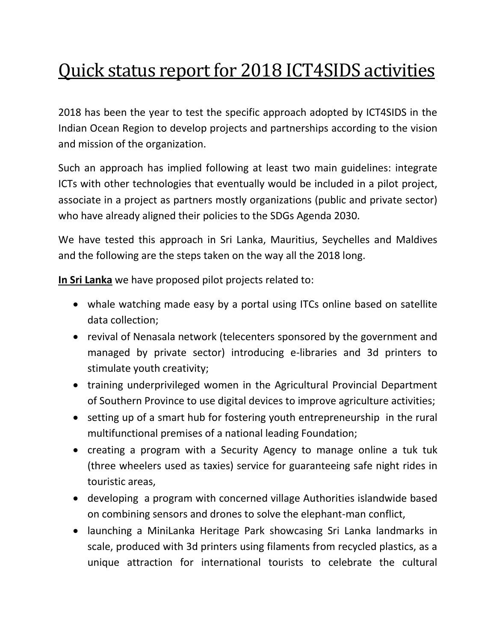## Quick status report for 2018 ICT4SIDS activities

2018 has been the year to test the specific approach adopted by ICT4SIDS in the Indian Ocean Region to develop projects and partnerships according to the vision and mission of the organization.

Such an approach has implied following at least two main guidelines: integrate ICTs with other technologies that eventually would be included in a pilot project, associate in a project as partners mostly organizations (public and private sector) who have already aligned their policies to the SDGs Agenda 2030.

We have tested this approach in Sri Lanka, Mauritius, Seychelles and Maldives and the following are the steps taken on the way all the 2018 long.

**In Sri Lanka** we have proposed pilot projects related to:

- whale watching made easy by a portal using ITCs online based on satellite data collection;
- revival of Nenasala network (telecenters sponsored by the government and managed by private sector) introducing e-libraries and 3d printers to stimulate youth creativity;
- training underprivileged women in the Agricultural Provincial Department of Southern Province to use digital devices to improve agriculture activities;
- setting up of a smart hub for fostering youth entrepreneurship in the rural multifunctional premises of a national leading Foundation;
- creating a program with a Security Agency to manage online a tuk tuk (three wheelers used as taxies) service for guaranteeing safe night rides in touristic areas,
- developing a program with concerned village Authorities islandwide based on combining sensors and drones to solve the elephant-man conflict,
- launching a MiniLanka Heritage Park showcasing Sri Lanka landmarks in scale, produced with 3d printers using filaments from recycled plastics, as a unique attraction for international tourists to celebrate the cultural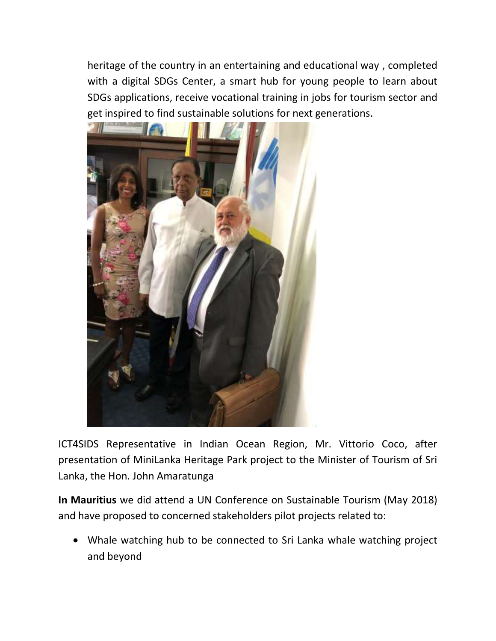heritage of the country in an entertaining and educational way , completed with a digital SDGs Center, a smart hub for young people to learn about SDGs applications, receive vocational training in jobs for tourism sector and get inspired to find sustainable solutions for next generations.



ICT4SIDS Representative in Indian Ocean Region, Mr. Vittorio Coco, after presentation of MiniLanka Heritage Park project to the Minister of Tourism of Sri Lanka, the Hon. John Amaratunga

**In Mauritius** we did attend a UN Conference on Sustainable Tourism (May 2018) and have proposed to concerned stakeholders pilot projects related to:

 Whale watching hub to be connected to Sri Lanka whale watching project and beyond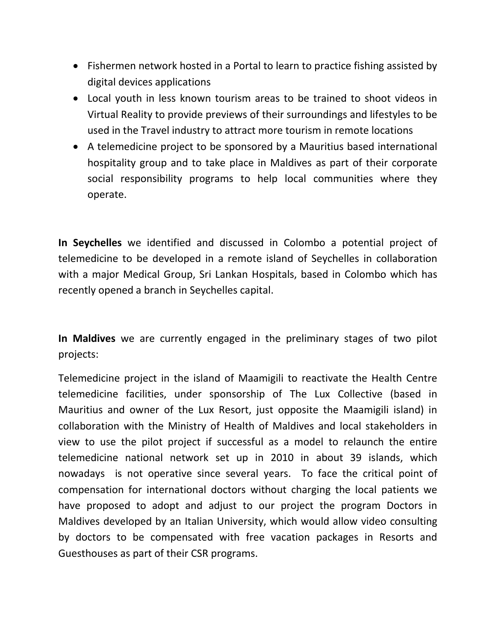- Fishermen network hosted in a Portal to learn to practice fishing assisted by digital devices applications
- Local youth in less known tourism areas to be trained to shoot videos in Virtual Reality to provide previews of their surroundings and lifestyles to be used in the Travel industry to attract more tourism in remote locations
- A telemedicine project to be sponsored by a Mauritius based international hospitality group and to take place in Maldives as part of their corporate social responsibility programs to help local communities where they operate.

**In Seychelles** we identified and discussed in Colombo a potential project of telemedicine to be developed in a remote island of Seychelles in collaboration with a major Medical Group, Sri Lankan Hospitals, based in Colombo which has recently opened a branch in Seychelles capital.

**In Maldives** we are currently engaged in the preliminary stages of two pilot projects:

Telemedicine project in the island of Maamigili to reactivate the Health Centre telemedicine facilities, under sponsorship of The Lux Collective (based in Mauritius and owner of the Lux Resort, just opposite the Maamigili island) in collaboration with the Ministry of Health of Maldives and local stakeholders in view to use the pilot project if successful as a model to relaunch the entire telemedicine national network set up in 2010 in about 39 islands, which nowadays is not operative since several years. To face the critical point of compensation for international doctors without charging the local patients we have proposed to adopt and adjust to our project the program Doctors in Maldives developed by an Italian University, which would allow video consulting by doctors to be compensated with free vacation packages in Resorts and Guesthouses as part of their CSR programs.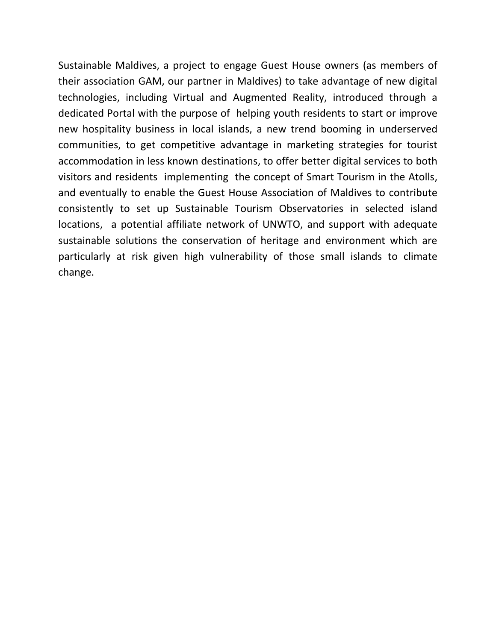Sustainable Maldives, a project to engage Guest House owners (as members of their association GAM, our partner in Maldives) to take advantage of new digital technologies, including Virtual and Augmented Reality, introduced through a dedicated Portal with the purpose of helping youth residents to start or improve new hospitality business in local islands, a new trend booming in underserved communities, to get competitive advantage in marketing strategies for tourist accommodation in less known destinations, to offer better digital services to both visitors and residents implementing the concept of Smart Tourism in the Atolls, and eventually to enable the Guest House Association of Maldives to contribute consistently to set up Sustainable Tourism Observatories in selected island locations, a potential affiliate network of UNWTO, and support with adequate sustainable solutions the conservation of heritage and environment which are particularly at risk given high vulnerability of those small islands to climate change.